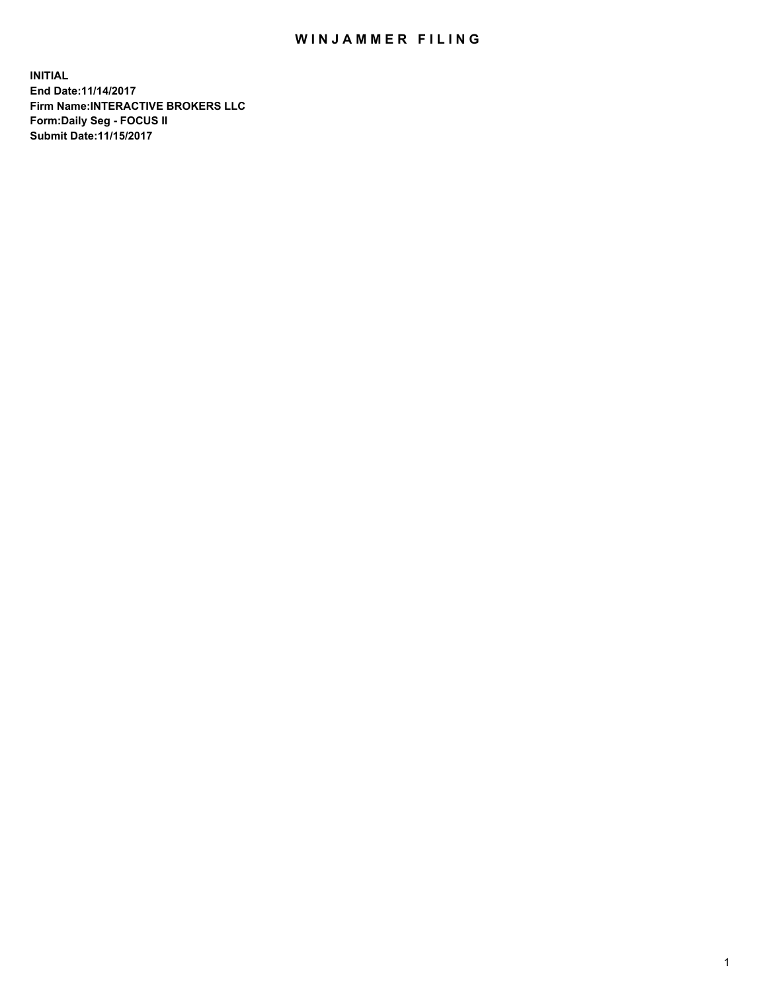## WIN JAMMER FILING

**INITIAL End Date:11/14/2017 Firm Name:INTERACTIVE BROKERS LLC Form:Daily Seg - FOCUS II Submit Date:11/15/2017**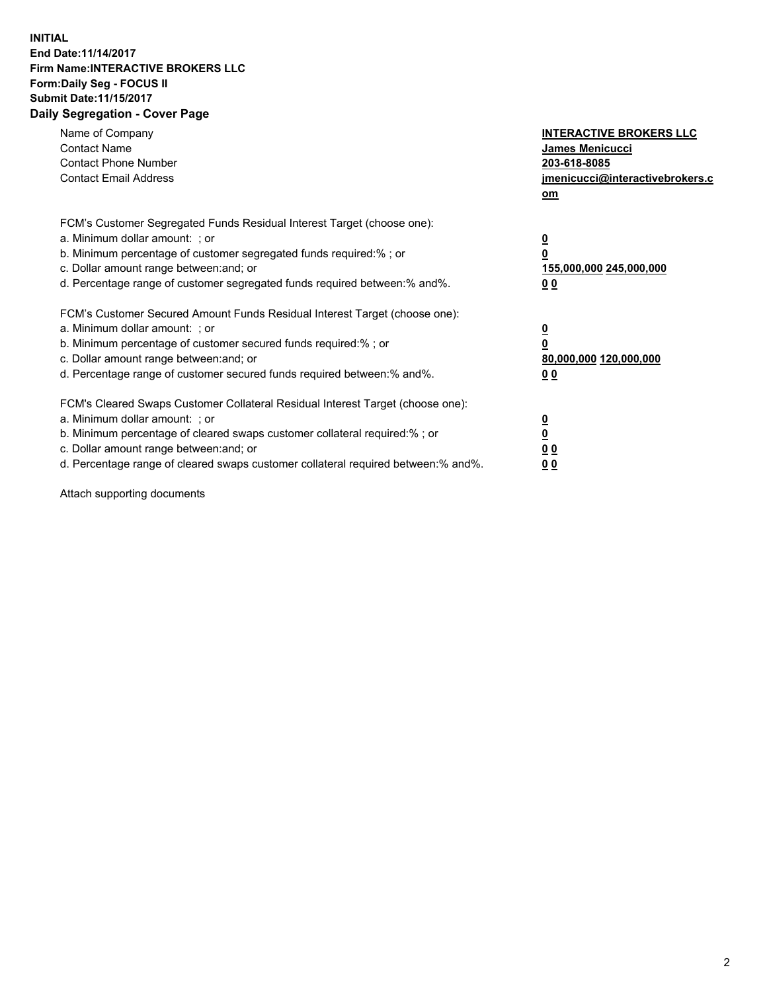## **INITIAL End Date:11/14/2017 Firm Name:INTERACTIVE BROKERS LLC Form:Daily Seg - FOCUS II Submit Date:11/15/2017 Daily Segregation - Cover Page**

| Name of Company<br><b>Contact Name</b><br><b>Contact Phone Number</b><br><b>Contact Email Address</b>                                                                                                                                                                                                                          | <b>INTERACTIVE BROKERS LLC</b><br><b>James Menicucci</b><br>203-618-8085<br>jmenicucci@interactivebrokers.c<br>om |
|--------------------------------------------------------------------------------------------------------------------------------------------------------------------------------------------------------------------------------------------------------------------------------------------------------------------------------|-------------------------------------------------------------------------------------------------------------------|
| FCM's Customer Segregated Funds Residual Interest Target (choose one):<br>a. Minimum dollar amount: ; or<br>b. Minimum percentage of customer segregated funds required:% ; or<br>c. Dollar amount range between: and; or<br>d. Percentage range of customer segregated funds required between:% and%.                         | $\overline{\mathbf{0}}$<br>0<br><u>155,000,000 245,000,000</u><br><u>00</u>                                       |
| FCM's Customer Secured Amount Funds Residual Interest Target (choose one):<br>a. Minimum dollar amount: ; or<br>b. Minimum percentage of customer secured funds required:%; or<br>c. Dollar amount range between: and; or<br>d. Percentage range of customer secured funds required between:% and%.                            | $\overline{\mathbf{0}}$<br>$\overline{\mathbf{0}}$<br>80,000,000 120,000,000<br>00                                |
| FCM's Cleared Swaps Customer Collateral Residual Interest Target (choose one):<br>a. Minimum dollar amount: ; or<br>b. Minimum percentage of cleared swaps customer collateral required:% ; or<br>c. Dollar amount range between: and; or<br>d. Percentage range of cleared swaps customer collateral required between:% and%. | $\underline{\mathbf{0}}$<br>$\underline{\mathbf{0}}$<br>0 <sub>0</sub><br>0 <sub>0</sub>                          |

Attach supporting documents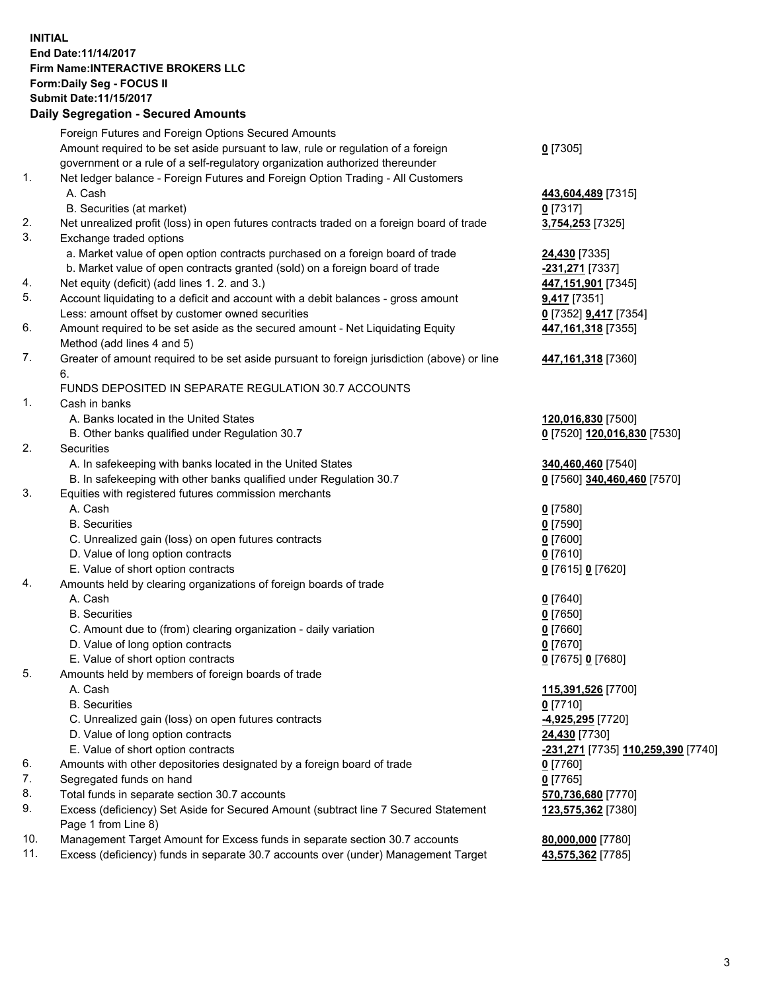## **INITIAL End Date:11/14/2017 Firm Name:INTERACTIVE BROKERS LLC Form:Daily Seg - FOCUS II Submit Date:11/15/2017 Daily Segregation - Secured Amounts**

|     | Dany Segregation - Secured Announts                                                         |                                    |
|-----|---------------------------------------------------------------------------------------------|------------------------------------|
|     | Foreign Futures and Foreign Options Secured Amounts                                         |                                    |
|     | Amount required to be set aside pursuant to law, rule or regulation of a foreign            | $0$ [7305]                         |
|     | government or a rule of a self-regulatory organization authorized thereunder                |                                    |
| 1.  | Net ledger balance - Foreign Futures and Foreign Option Trading - All Customers             |                                    |
|     | A. Cash                                                                                     | 443,604,489 [7315]                 |
|     | B. Securities (at market)                                                                   | $0$ [7317]                         |
| 2.  | Net unrealized profit (loss) in open futures contracts traded on a foreign board of trade   | 3,754,253 [7325]                   |
| 3.  | Exchange traded options                                                                     |                                    |
|     | a. Market value of open option contracts purchased on a foreign board of trade              | <b>24,430</b> [7335]               |
|     | b. Market value of open contracts granted (sold) on a foreign board of trade                | -231,271 [7337]                    |
| 4.  | Net equity (deficit) (add lines 1.2. and 3.)                                                | 447,151,901 [7345]                 |
| 5.  | Account liquidating to a deficit and account with a debit balances - gross amount           | $9,417$ [7351]                     |
|     | Less: amount offset by customer owned securities                                            | 0 [7352] 9,417 [7354]              |
| 6.  | Amount required to be set aside as the secured amount - Net Liquidating Equity              | 447, 161, 318 [7355]               |
|     | Method (add lines 4 and 5)                                                                  |                                    |
| 7.  | Greater of amount required to be set aside pursuant to foreign jurisdiction (above) or line | 447, 161, 318 [7360]               |
|     | 6.                                                                                          |                                    |
|     | FUNDS DEPOSITED IN SEPARATE REGULATION 30.7 ACCOUNTS                                        |                                    |
| 1.  | Cash in banks                                                                               |                                    |
|     | A. Banks located in the United States                                                       | 120,016,830 [7500]                 |
|     | B. Other banks qualified under Regulation 30.7                                              | 0 [7520] 120,016,830 [7530]        |
| 2.  | Securities                                                                                  |                                    |
|     | A. In safekeeping with banks located in the United States                                   | 340,460,460 [7540]                 |
|     | B. In safekeeping with other banks qualified under Regulation 30.7                          | 0 [7560] 340,460,460 [7570]        |
| 3.  | Equities with registered futures commission merchants                                       |                                    |
|     | A. Cash                                                                                     | $0$ [7580]                         |
|     | <b>B.</b> Securities                                                                        | $0$ [7590]                         |
|     | C. Unrealized gain (loss) on open futures contracts                                         | $0$ [7600]                         |
|     | D. Value of long option contracts                                                           | $0$ [7610]                         |
|     | E. Value of short option contracts                                                          | 0 [7615] 0 [7620]                  |
| 4.  | Amounts held by clearing organizations of foreign boards of trade                           |                                    |
|     | A. Cash                                                                                     | $0$ [7640]                         |
|     | <b>B.</b> Securities                                                                        | $0$ [7650]                         |
|     | C. Amount due to (from) clearing organization - daily variation                             | $0$ [7660]                         |
|     | D. Value of long option contracts                                                           | $0$ [7670]                         |
|     | E. Value of short option contracts                                                          | 0 [7675] 0 [7680]                  |
| 5.  | Amounts held by members of foreign boards of trade                                          |                                    |
|     | A. Cash                                                                                     | 115,391,526 [7700]                 |
|     | <b>B.</b> Securities                                                                        | $0$ [7710]                         |
|     | C. Unrealized gain (loss) on open futures contracts                                         | 4,925,295 [7720]                   |
|     | D. Value of long option contracts                                                           | 24,430 [7730]                      |
|     | E. Value of short option contracts                                                          | -231,271 [7735] 110,259,390 [7740] |
| 6.  | Amounts with other depositories designated by a foreign board of trade                      | 0 [7760]                           |
| 7.  | Segregated funds on hand                                                                    | $0$ [7765]                         |
| 8.  | Total funds in separate section 30.7 accounts                                               | 570,736,680 [7770]                 |
| 9.  | Excess (deficiency) Set Aside for Secured Amount (subtract line 7 Secured Statement         | 123,575,362 [7380]                 |
|     | Page 1 from Line 8)                                                                         |                                    |
| 10. | Management Target Amount for Excess funds in separate section 30.7 accounts                 | 80,000,000 [7780]                  |
| 11. | Excess (deficiency) funds in separate 30.7 accounts over (under) Management Target          | 43,575,362 [7785]                  |
|     |                                                                                             |                                    |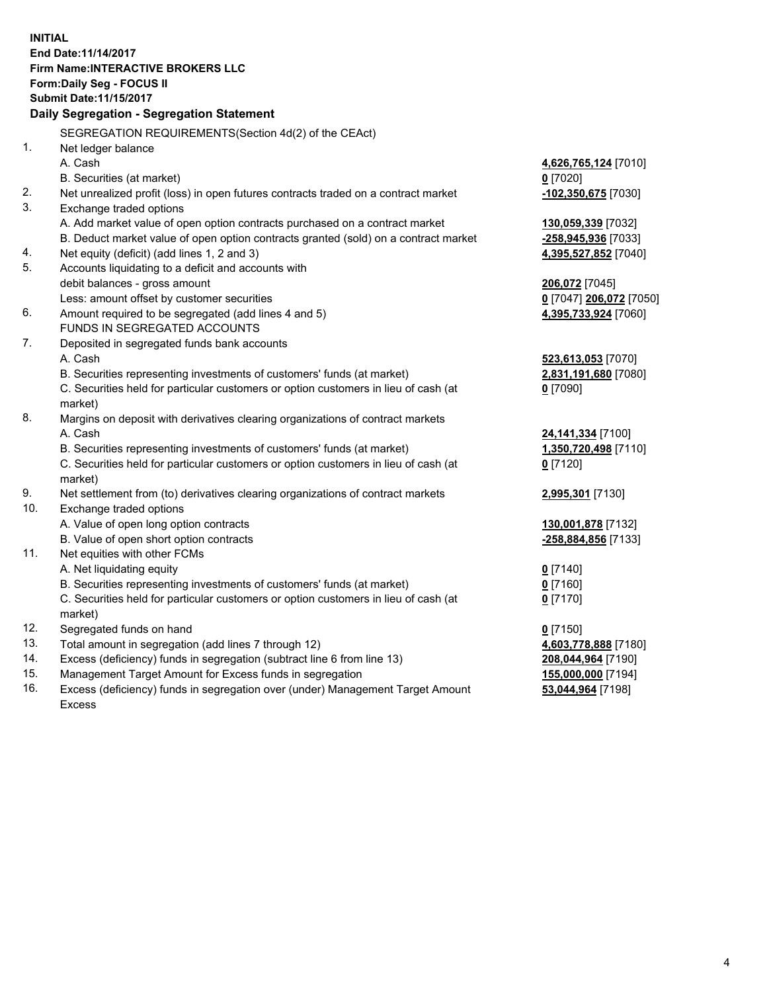**INITIAL End Date:11/14/2017 Firm Name:INTERACTIVE BROKERS LLC Form:Daily Seg - FOCUS II Submit Date:11/15/2017 Daily Segregation - Segregation Statement** SEGREGATION REQUIREMENTS(Section 4d(2) of the CEAct) 1. Net ledger balance A. Cash **4,626,765,124** [7010] B. Securities (at market) **0** [7020] 2. Net unrealized profit (loss) in open futures contracts traded on a contract market **-102,350,675** [7030] 3. Exchange traded options A. Add market value of open option contracts purchased on a contract market **130,059,339** [7032] B. Deduct market value of open option contracts granted (sold) on a contract market **-258,945,936** [7033] 4. Net equity (deficit) (add lines 1, 2 and 3) **4,395,527,852** [7040] 5. Accounts liquidating to a deficit and accounts with debit balances - gross amount **206,072** [7045] Less: amount offset by customer securities **0** [7047] **206,072** [7050] 6. Amount required to be segregated (add lines 4 and 5) **4,395,733,924** [7060] FUNDS IN SEGREGATED ACCOUNTS 7. Deposited in segregated funds bank accounts A. Cash **523,613,053** [7070] B. Securities representing investments of customers' funds (at market) **2,831,191,680** [7080] C. Securities held for particular customers or option customers in lieu of cash (at market) **0** [7090] 8. Margins on deposit with derivatives clearing organizations of contract markets A. Cash **24,141,334** [7100] B. Securities representing investments of customers' funds (at market) **1,350,720,498** [7110] C. Securities held for particular customers or option customers in lieu of cash (at market) **0** [7120] 9. Net settlement from (to) derivatives clearing organizations of contract markets **2,995,301** [7130] 10. Exchange traded options A. Value of open long option contracts **130,001,878** [7132] B. Value of open short option contracts **-258,884,856** [7133] 11. Net equities with other FCMs A. Net liquidating equity **0** [7140] B. Securities representing investments of customers' funds (at market) **0** [7160] C. Securities held for particular customers or option customers in lieu of cash (at market) **0** [7170] 12. Segregated funds on hand **0** [7150] 13. Total amount in segregation (add lines 7 through 12) **4,603,778,888** [7180] 14. Excess (deficiency) funds in segregation (subtract line 6 from line 13) **208,044,964** [7190] 15. Management Target Amount for Excess funds in segregation **155,000,000** [7194]

16. Excess (deficiency) funds in segregation over (under) Management Target Amount Excess

**53,044,964** [7198]